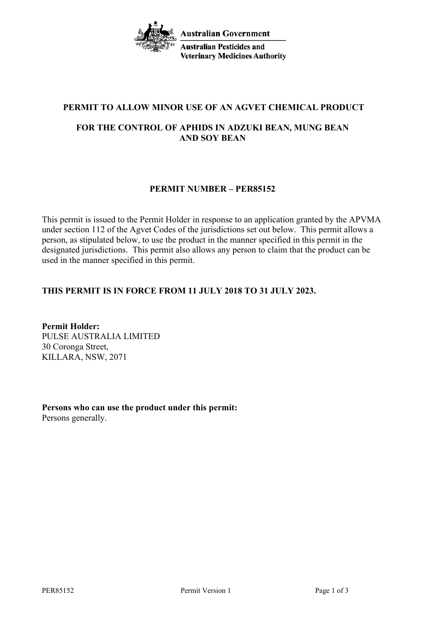**Australian Government Australian Pesticides and Veterinary Medicines Authority** 

# **PERMIT TO ALLOW MINOR USE OF AN AGVET CHEMICAL PRODUCT**

# **FOR THE CONTROL OF APHIDS IN ADZUKI BEAN, MUNG BEAN AND SOY BEAN**

# **PERMIT NUMBER – PER85152**

This permit is issued to the Permit Holder in response to an application granted by the APVMA under section 112 of the Agvet Codes of the jurisdictions set out below. This permit allows a person, as stipulated below, to use the product in the manner specified in this permit in the designated jurisdictions. This permit also allows any person to claim that the product can be used in the manner specified in this permit.

# **THIS PERMIT IS IN FORCE FROM 11 JULY 2018 TO 31 JULY 2023.**

**Permit Holder:** PULSE AUSTRALIA LIMITED 30 Coronga Street, KILLARA, NSW, 2071

**Persons who can use the product under this permit:** Persons generally.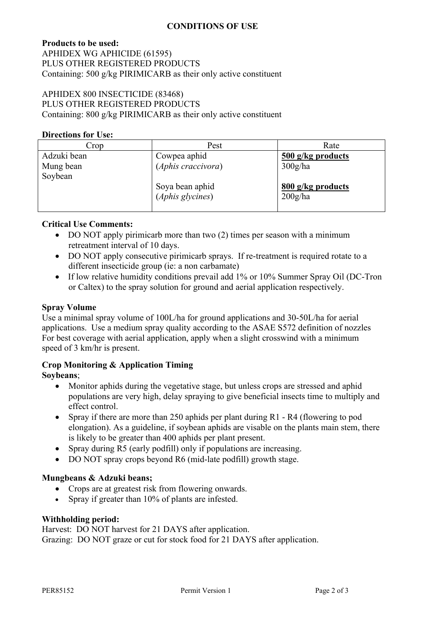### **CONDITIONS OF USE**

## **Products to be used:** APHIDEX WG APHICIDE (61595) PLUS OTHER REGISTERED PRODUCTS Containing: 500 g/kg PIRIMICARB as their only active constituent

## APHIDEX 800 INSECTICIDE (83468) PLUS OTHER REGISTERED PRODUCTS Containing: 800 g/kg PIRIMICARB as their only active constituent

#### **Directions for Use:**

| Crop        | Pest               | Rate              |
|-------------|--------------------|-------------------|
| Adzuki bean | Cowpea aphid       | 500 g/kg products |
| Mung bean   | (Aphis craccivora) | 300g/ha           |
| Soybean     |                    |                   |
|             | Soya bean aphid    | 800 g/kg products |
|             | (Aphis glycines)   | 200g/ha           |
|             |                    |                   |

### **Critical Use Comments:**

- DO NOT apply pirimicarb more than two (2) times per season with a minimum retreatment interval of 10 days.
- DO NOT apply consecutive pirimicarb sprays. If re-treatment is required rotate to a different insecticide group (ie: a non carbamate)
- If low relative humidity conditions prevail add 1% or 10% Summer Spray Oil (DC-Tron or Caltex) to the spray solution for ground and aerial application respectively.

### **Spray Volume**

Use a minimal spray volume of 100L/ha for ground applications and 30-50L/ha for aerial applications. Use a medium spray quality according to the ASAE S572 definition of nozzles For best coverage with aerial application, apply when a slight crosswind with a minimum speed of 3 km/hr is present.

## **Crop Monitoring & Application Timing**

#### **Soybeans**;

- Monitor aphids during the vegetative stage, but unless crops are stressed and aphid populations are very high, delay spraying to give beneficial insects time to multiply and effect control.
- Spray if there are more than 250 aphids per plant during R1 R4 (flowering to pod elongation). As a guideline, if soybean aphids are visable on the plants main stem, there is likely to be greater than 400 aphids per plant present.
- Spray during R5 (early podfill) only if populations are increasing.
- DO NOT spray crops beyond R6 (mid-late podfill) growth stage.

#### **Mungbeans & Adzuki beans;**

- Crops are at greatest risk from flowering onwards.
- Spray if greater than 10% of plants are infested.

#### **Withholding period:**

Harvest: DO NOT harvest for 21 DAYS after application. Grazing: DO NOT graze or cut for stock food for 21 DAYS after application.